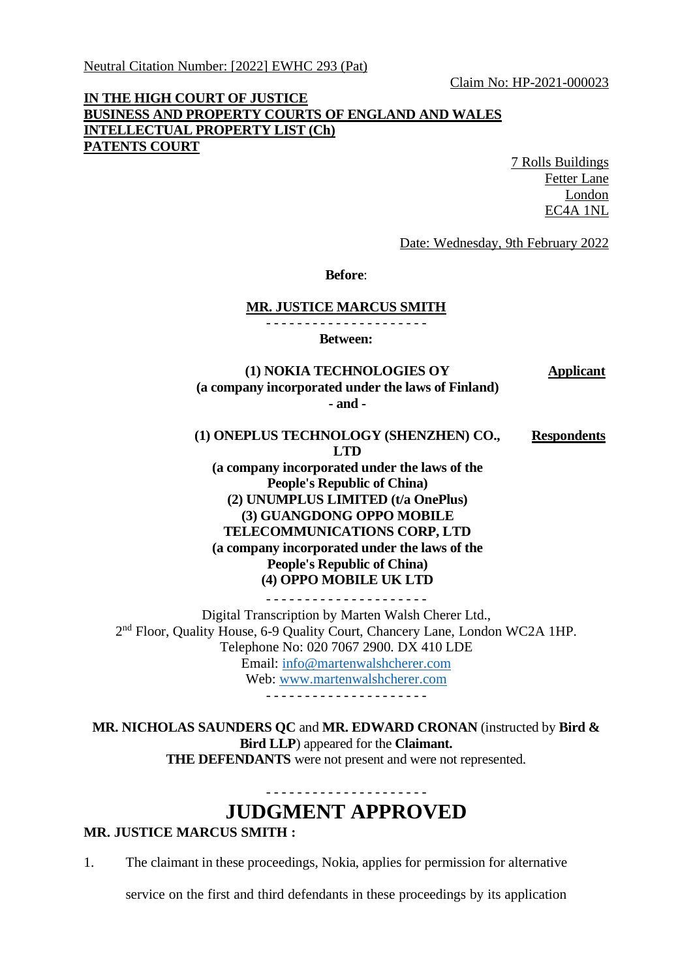Claim No: HP-2021-000023

## **IN THE HIGH COURT OF JUSTICE BUSINESS AND PROPERTY COURTS OF ENGLAND AND WALES INTELLECTUAL PROPERTY LIST (Ch) PATENTS COURT**

7 Rolls Buildings Fetter Lane London EC4A 1NL

Date: Wednesday, 9th February 2022

**Before**:

## **MR. JUSTICE MARCUS SMITH**

- - - - - - - - - - - - - - - - - - - - -

**Between:**

**Applicant**

**(1) NOKIA TECHNOLOGIES OY (a company incorporated under the laws of Finland) - and -**

**(1) ONEPLUS TECHNOLOGY (SHENZHEN) CO., LTD (a company incorporated under the laws of the People's Republic of China) (2) UNUMPLUS LIMITED (t/a OnePlus) (3) GUANGDONG OPPO MOBILE TELECOMMUNICATIONS CORP, LTD (a company incorporated under the laws of the People's Republic of China) (4) OPPO MOBILE UK LTD Respondents** - - - - - - - - - - - - - - - - - - - - -

Digital Transcription by Marten Walsh Cherer Ltd., 2<sup>nd</sup> Floor, Quality House, 6-9 Quality Court, Chancery Lane, London WC2A 1HP. Telephone No: 020 7067 2900. DX 410 LDE Email: [info@martenwalshcherer.com](mailto:info@martenwalshcherer.com) Web: [www.martenwalshcherer.com](http://www.martenwalshcherer.com/) - - - - - - - - - - - - - - - - - - - - -

**MR. NICHOLAS SAUNDERS QC** and **MR. EDWARD CRONAN** (instructed by **Bird & Bird LLP**) appeared for the **Claimant. THE DEFENDANTS** were not present and were not represented.

## **JUDGMENT APPROVED**

- - - - - - - - - - - - - - - - - - - - -

## **MR. JUSTICE MARCUS SMITH :**

1. The claimant in these proceedings, Nokia, applies for permission for alternative

service on the first and third defendants in these proceedings by its application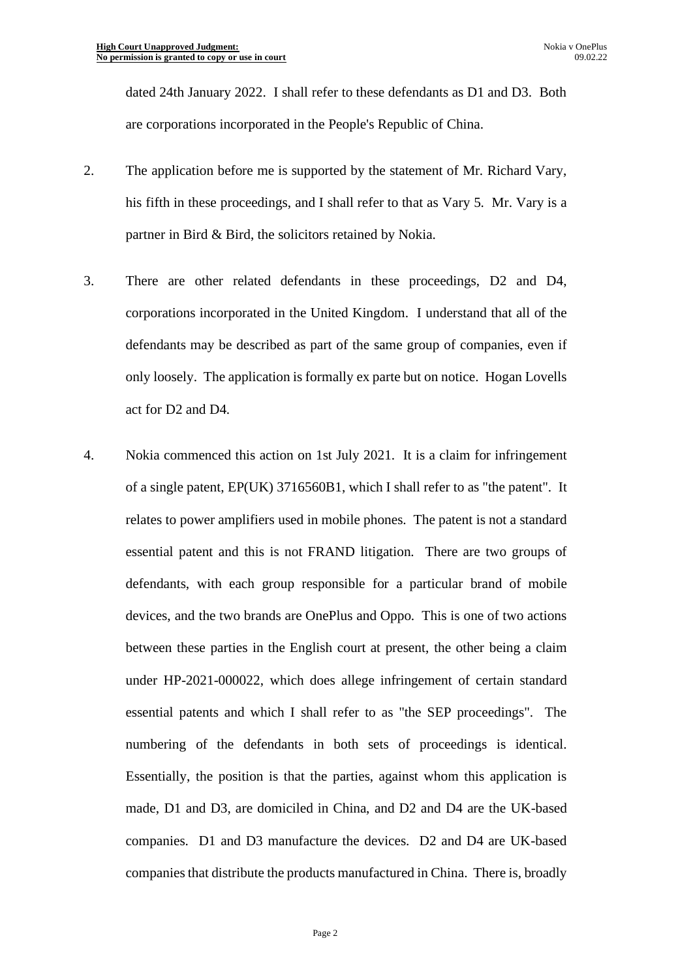dated 24th January 2022. I shall refer to these defendants as D1 and D3. Both are corporations incorporated in the People's Republic of China.

- 2. The application before me is supported by the statement of Mr. Richard Vary, his fifth in these proceedings, and I shall refer to that as Vary 5. Mr. Vary is a partner in Bird & Bird, the solicitors retained by Nokia.
- 3. There are other related defendants in these proceedings, D2 and D4, corporations incorporated in the United Kingdom. I understand that all of the defendants may be described as part of the same group of companies, even if only loosely. The application is formally ex parte but on notice. Hogan Lovells act for D2 and D4.
- 4. Nokia commenced this action on 1st July 2021. It is a claim for infringement of a single patent, EP(UK) 3716560B1, which I shall refer to as "the patent". It relates to power amplifiers used in mobile phones. The patent is not a standard essential patent and this is not FRAND litigation. There are two groups of defendants, with each group responsible for a particular brand of mobile devices, and the two brands are OnePlus and Oppo. This is one of two actions between these parties in the English court at present, the other being a claim under HP-2021-000022, which does allege infringement of certain standard essential patents and which I shall refer to as "the SEP proceedings". The numbering of the defendants in both sets of proceedings is identical. Essentially, the position is that the parties, against whom this application is made, D1 and D3, are domiciled in China, and D2 and D4 are the UK-based companies. D1 and D3 manufacture the devices. D2 and D4 are UK-based companies that distribute the products manufactured in China. There is, broadly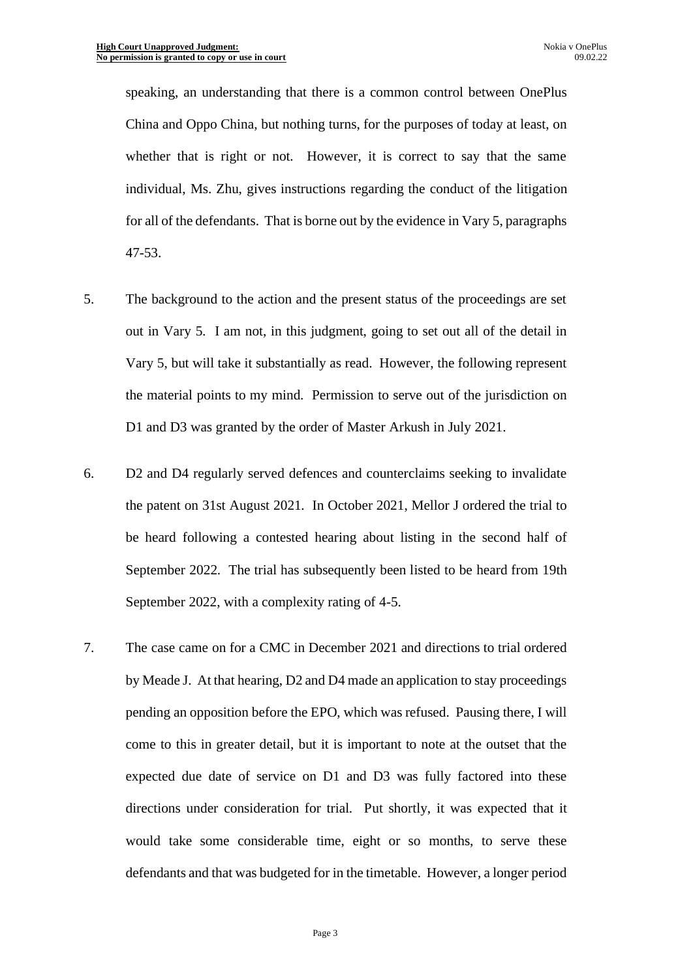speaking, an understanding that there is a common control between OnePlus China and Oppo China, but nothing turns, for the purposes of today at least, on whether that is right or not. However, it is correct to say that the same individual, Ms. Zhu, gives instructions regarding the conduct of the litigation for all of the defendants. That is borne out by the evidence in Vary 5, paragraphs 47-53.

- 5. The background to the action and the present status of the proceedings are set out in Vary 5. I am not, in this judgment, going to set out all of the detail in Vary 5, but will take it substantially as read. However, the following represent the material points to my mind. Permission to serve out of the jurisdiction on D1 and D3 was granted by the order of Master Arkush in July 2021.
- 6. D2 and D4 regularly served defences and counterclaims seeking to invalidate the patent on 31st August 2021. In October 2021, Mellor J ordered the trial to be heard following a contested hearing about listing in the second half of September 2022. The trial has subsequently been listed to be heard from 19th September 2022, with a complexity rating of 4-5.
- 7. The case came on for a CMC in December 2021 and directions to trial ordered by Meade J. At that hearing, D2 and D4 made an application to stay proceedings pending an opposition before the EPO, which was refused. Pausing there, I will come to this in greater detail, but it is important to note at the outset that the expected due date of service on D1 and D3 was fully factored into these directions under consideration for trial. Put shortly, it was expected that it would take some considerable time, eight or so months, to serve these defendants and that was budgeted for in the timetable. However, a longer period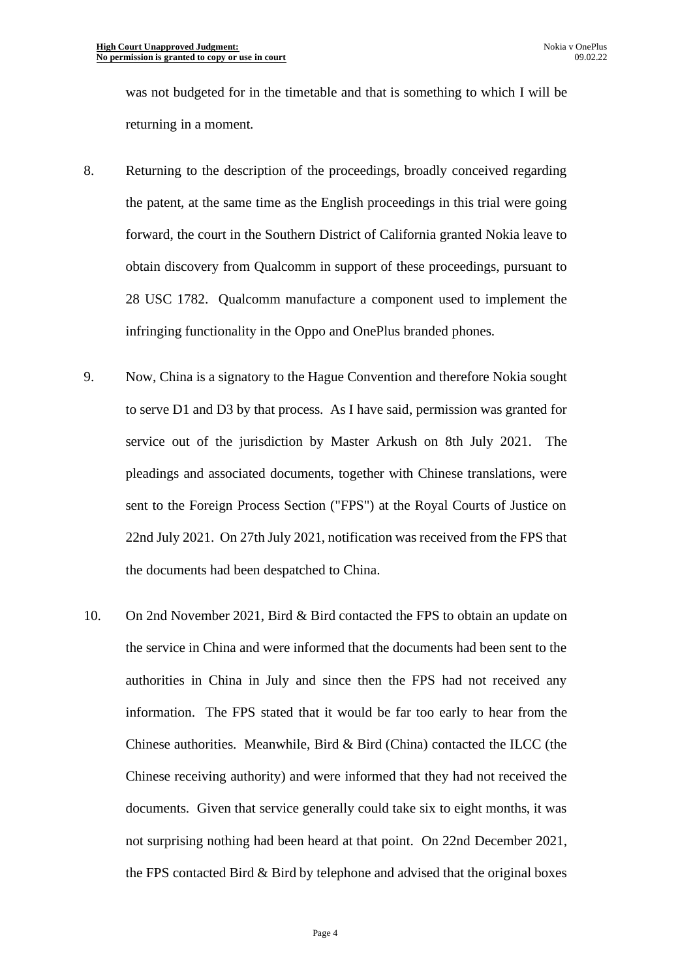was not budgeted for in the timetable and that is something to which I will be returning in a moment.

- 8. Returning to the description of the proceedings, broadly conceived regarding the patent, at the same time as the English proceedings in this trial were going forward, the court in the Southern District of California granted Nokia leave to obtain discovery from Qualcomm in support of these proceedings, pursuant to 28 USC 1782. Qualcomm manufacture a component used to implement the infringing functionality in the Oppo and OnePlus branded phones.
- 9. Now, China is a signatory to the Hague Convention and therefore Nokia sought to serve D1 and D3 by that process. As I have said, permission was granted for service out of the jurisdiction by Master Arkush on 8th July 2021. The pleadings and associated documents, together with Chinese translations, were sent to the Foreign Process Section ("FPS") at the Royal Courts of Justice on 22nd July 2021. On 27th July 2021, notification was received from the FPS that the documents had been despatched to China.
- 10. On 2nd November 2021, Bird & Bird contacted the FPS to obtain an update on the service in China and were informed that the documents had been sent to the authorities in China in July and since then the FPS had not received any information. The FPS stated that it would be far too early to hear from the Chinese authorities. Meanwhile, Bird & Bird (China) contacted the ILCC (the Chinese receiving authority) and were informed that they had not received the documents. Given that service generally could take six to eight months, it was not surprising nothing had been heard at that point. On 22nd December 2021, the FPS contacted Bird & Bird by telephone and advised that the original boxes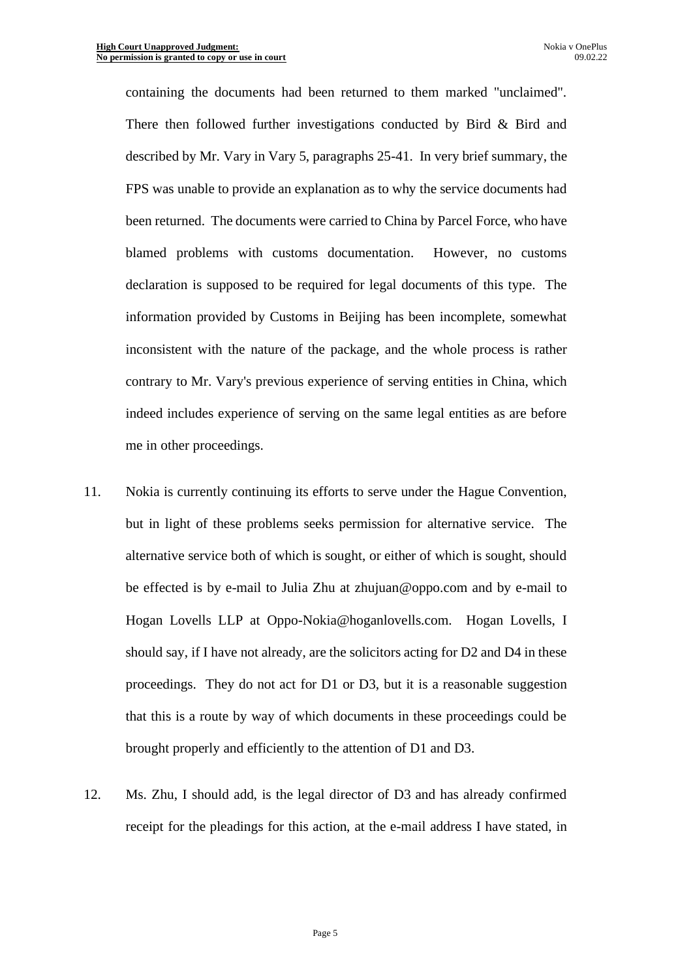containing the documents had been returned to them marked "unclaimed". There then followed further investigations conducted by Bird & Bird and described by Mr. Vary in Vary 5, paragraphs 25-41. In very brief summary, the FPS was unable to provide an explanation as to why the service documents had been returned. The documents were carried to China by Parcel Force, who have blamed problems with customs documentation. However, no customs declaration is supposed to be required for legal documents of this type. The information provided by Customs in Beijing has been incomplete, somewhat inconsistent with the nature of the package, and the whole process is rather contrary to Mr. Vary's previous experience of serving entities in China, which indeed includes experience of serving on the same legal entities as are before me in other proceedings.

- 11. Nokia is currently continuing its efforts to serve under the Hague Convention, but in light of these problems seeks permission for alternative service. The alternative service both of which is sought, or either of which is sought, should be effected is by e-mail to Julia Zhu at zhujuan@oppo.com and by e-mail to Hogan Lovells LLP at Oppo-Nokia@hoganlovells.com. Hogan Lovells, I should say, if I have not already, are the solicitors acting for D2 and D4 in these proceedings. They do not act for D1 or D3, but it is a reasonable suggestion that this is a route by way of which documents in these proceedings could be brought properly and efficiently to the attention of D1 and D3.
- 12. Ms. Zhu, I should add, is the legal director of D3 and has already confirmed receipt for the pleadings for this action, at the e-mail address I have stated, in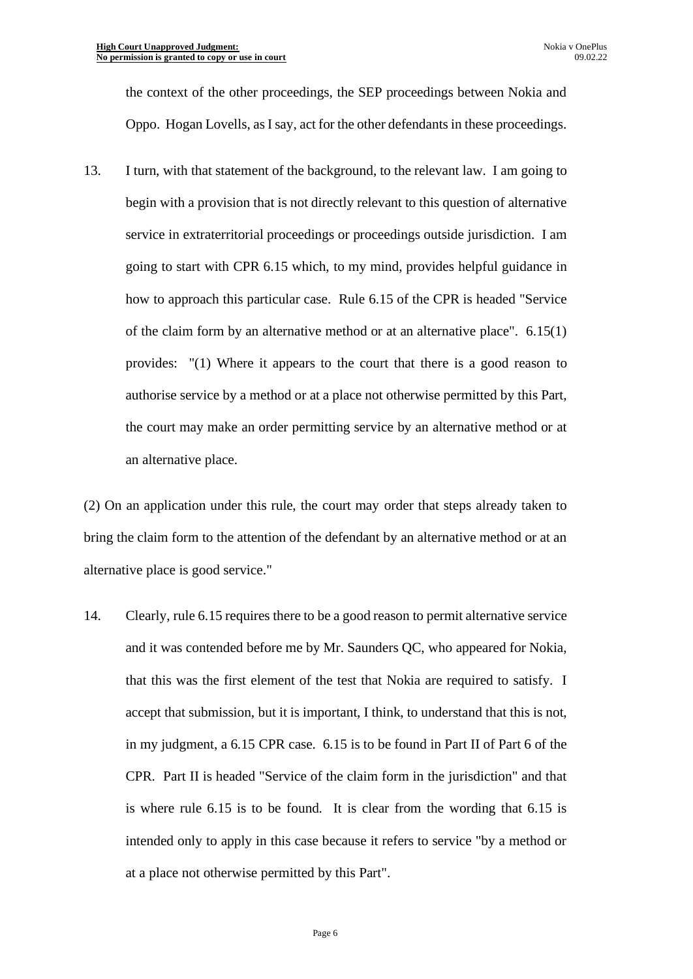the context of the other proceedings, the SEP proceedings between Nokia and Oppo. Hogan Lovells, as I say, act for the other defendants in these proceedings.

13. I turn, with that statement of the background, to the relevant law. I am going to begin with a provision that is not directly relevant to this question of alternative service in extraterritorial proceedings or proceedings outside jurisdiction. I am going to start with CPR 6.15 which, to my mind, provides helpful guidance in how to approach this particular case. Rule 6.15 of the CPR is headed "Service of the claim form by an alternative method or at an alternative place". 6.15(1) provides: "(1) Where it appears to the court that there is a good reason to authorise service by a method or at a place not otherwise permitted by this Part, the court may make an order permitting service by an alternative method or at an alternative place.

(2) On an application under this rule, the court may order that steps already taken to bring the claim form to the attention of the defendant by an alternative method or at an alternative place is good service."

14. Clearly, rule 6.15 requires there to be a good reason to permit alternative service and it was contended before me by Mr. Saunders QC, who appeared for Nokia, that this was the first element of the test that Nokia are required to satisfy. I accept that submission, but it is important, I think, to understand that this is not, in my judgment, a 6.15 CPR case. 6.15 is to be found in Part II of Part 6 of the CPR. Part II is headed "Service of the claim form in the jurisdiction" and that is where rule 6.15 is to be found. It is clear from the wording that 6.15 is intended only to apply in this case because it refers to service "by a method or at a place not otherwise permitted by this Part".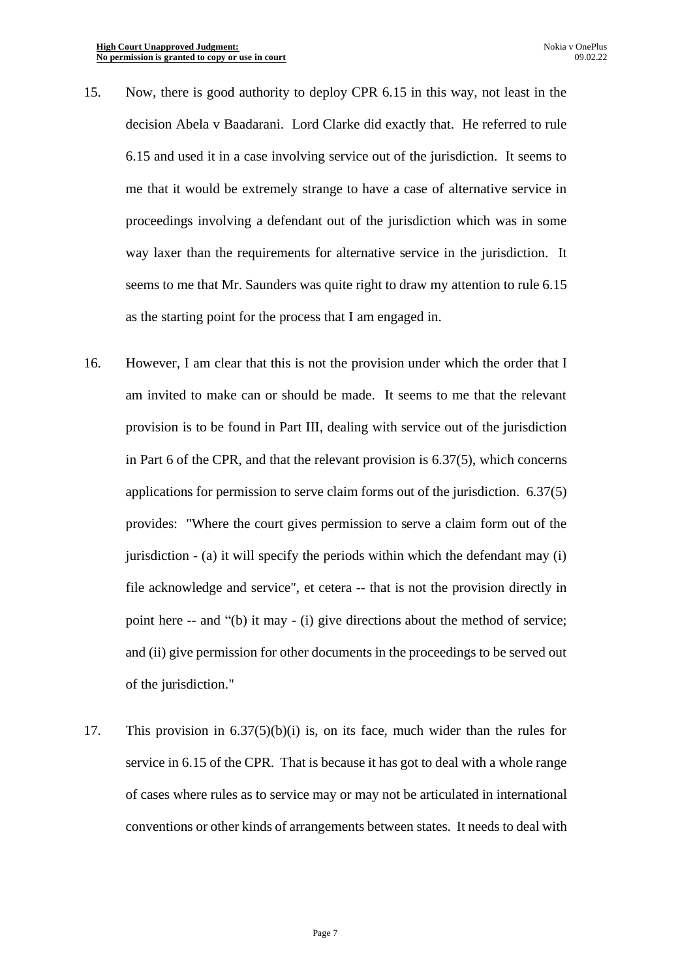- 15. Now, there is good authority to deploy CPR 6.15 in this way, not least in the decision Abela v Baadarani. Lord Clarke did exactly that. He referred to rule 6.15 and used it in a case involving service out of the jurisdiction. It seems to me that it would be extremely strange to have a case of alternative service in proceedings involving a defendant out of the jurisdiction which was in some way laxer than the requirements for alternative service in the jurisdiction. It seems to me that Mr. Saunders was quite right to draw my attention to rule 6.15 as the starting point for the process that I am engaged in.
- 16. However, I am clear that this is not the provision under which the order that I am invited to make can or should be made. It seems to me that the relevant provision is to be found in Part III, dealing with service out of the jurisdiction in Part 6 of the CPR, and that the relevant provision is 6.37(5), which concerns applications for permission to serve claim forms out of the jurisdiction. 6.37(5) provides: "Where the court gives permission to serve a claim form out of the jurisdiction - (a) it will specify the periods within which the defendant may (i) file acknowledge and service", et cetera -- that is not the provision directly in point here -- and "(b) it may - (i) give directions about the method of service; and (ii) give permission for other documents in the proceedings to be served out of the jurisdiction."
- 17. This provision in 6.37(5)(b)(i) is, on its face, much wider than the rules for service in 6.15 of the CPR. That is because it has got to deal with a whole range of cases where rules as to service may or may not be articulated in international conventions or other kinds of arrangements between states. It needs to deal with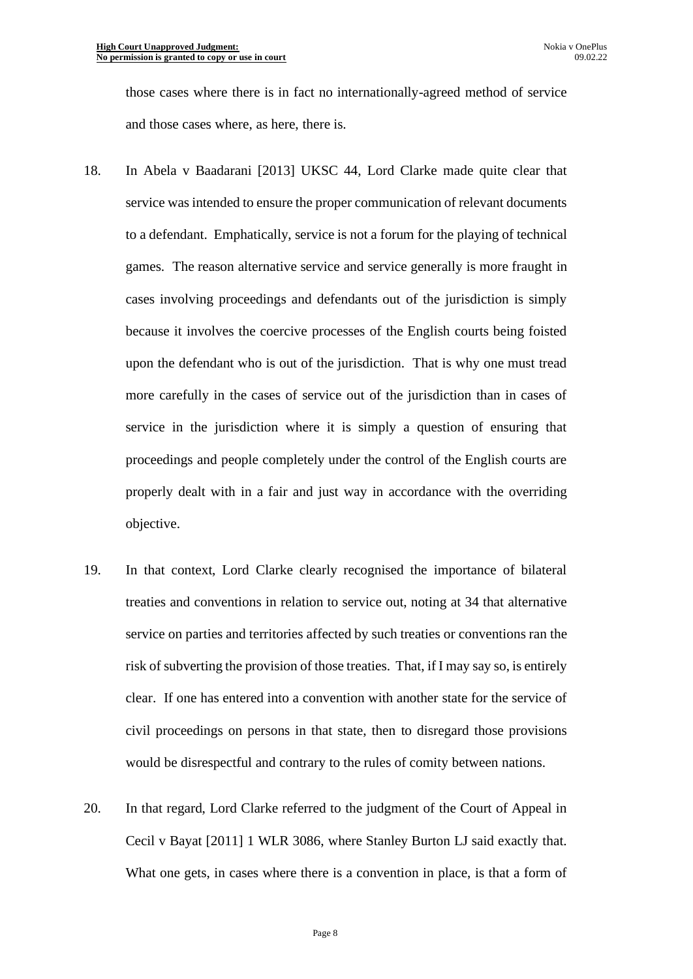those cases where there is in fact no internationally-agreed method of service and those cases where, as here, there is.

- 18. In Abela v Baadarani [2013] UKSC 44, Lord Clarke made quite clear that service was intended to ensure the proper communication of relevant documents to a defendant. Emphatically, service is not a forum for the playing of technical games. The reason alternative service and service generally is more fraught in cases involving proceedings and defendants out of the jurisdiction is simply because it involves the coercive processes of the English courts being foisted upon the defendant who is out of the jurisdiction. That is why one must tread more carefully in the cases of service out of the jurisdiction than in cases of service in the jurisdiction where it is simply a question of ensuring that proceedings and people completely under the control of the English courts are properly dealt with in a fair and just way in accordance with the overriding objective.
- 19. In that context, Lord Clarke clearly recognised the importance of bilateral treaties and conventions in relation to service out, noting at 34 that alternative service on parties and territories affected by such treaties or conventions ran the risk of subverting the provision of those treaties. That, if I may say so, is entirely clear. If one has entered into a convention with another state for the service of civil proceedings on persons in that state, then to disregard those provisions would be disrespectful and contrary to the rules of comity between nations.
- 20. In that regard, Lord Clarke referred to the judgment of the Court of Appeal in Cecil v Bayat [2011] 1 WLR 3086, where Stanley Burton LJ said exactly that. What one gets, in cases where there is a convention in place, is that a form of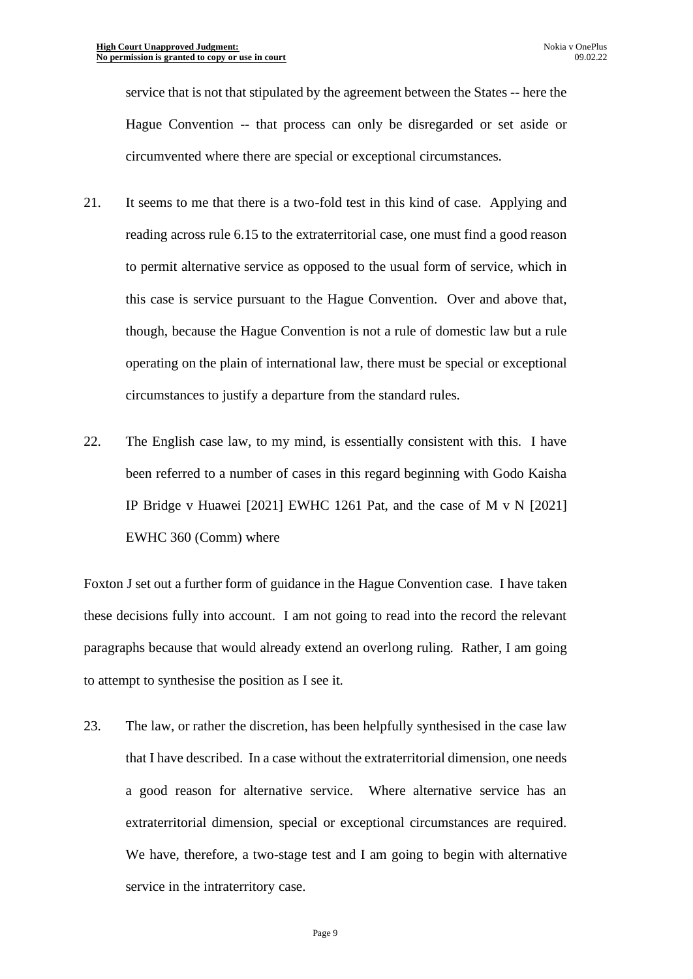service that is not that stipulated by the agreement between the States -- here the Hague Convention -- that process can only be disregarded or set aside or circumvented where there are special or exceptional circumstances.

- 21. It seems to me that there is a two-fold test in this kind of case. Applying and reading across rule 6.15 to the extraterritorial case, one must find a good reason to permit alternative service as opposed to the usual form of service, which in this case is service pursuant to the Hague Convention. Over and above that, though, because the Hague Convention is not a rule of domestic law but a rule operating on the plain of international law, there must be special or exceptional circumstances to justify a departure from the standard rules.
- 22. The English case law, to my mind, is essentially consistent with this. I have been referred to a number of cases in this regard beginning with Godo Kaisha IP Bridge v Huawei [2021] EWHC 1261 Pat, and the case of M v N [2021] EWHC 360 (Comm) where

Foxton J set out a further form of guidance in the Hague Convention case. I have taken these decisions fully into account. I am not going to read into the record the relevant paragraphs because that would already extend an overlong ruling. Rather, I am going to attempt to synthesise the position as I see it.

23. The law, or rather the discretion, has been helpfully synthesised in the case law that I have described. In a case without the extraterritorial dimension, one needs a good reason for alternative service. Where alternative service has an extraterritorial dimension, special or exceptional circumstances are required. We have, therefore, a two-stage test and I am going to begin with alternative service in the intraterritory case.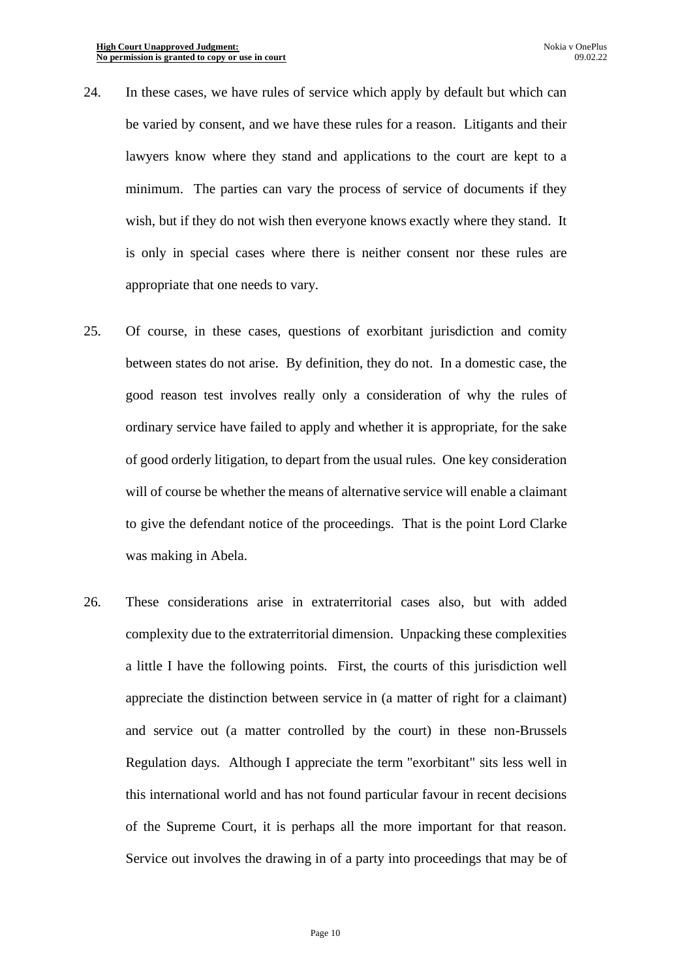- 24. In these cases, we have rules of service which apply by default but which can be varied by consent, and we have these rules for a reason. Litigants and their lawyers know where they stand and applications to the court are kept to a minimum. The parties can vary the process of service of documents if they wish, but if they do not wish then everyone knows exactly where they stand. It is only in special cases where there is neither consent nor these rules are appropriate that one needs to vary.
- 25. Of course, in these cases, questions of exorbitant jurisdiction and comity between states do not arise. By definition, they do not. In a domestic case, the good reason test involves really only a consideration of why the rules of ordinary service have failed to apply and whether it is appropriate, for the sake of good orderly litigation, to depart from the usual rules. One key consideration will of course be whether the means of alternative service will enable a claimant to give the defendant notice of the proceedings. That is the point Lord Clarke was making in Abela.
- 26. These considerations arise in extraterritorial cases also, but with added complexity due to the extraterritorial dimension. Unpacking these complexities a little I have the following points. First, the courts of this jurisdiction well appreciate the distinction between service in (a matter of right for a claimant) and service out (a matter controlled by the court) in these non-Brussels Regulation days. Although I appreciate the term "exorbitant" sits less well in this international world and has not found particular favour in recent decisions of the Supreme Court, it is perhaps all the more important for that reason. Service out involves the drawing in of a party into proceedings that may be of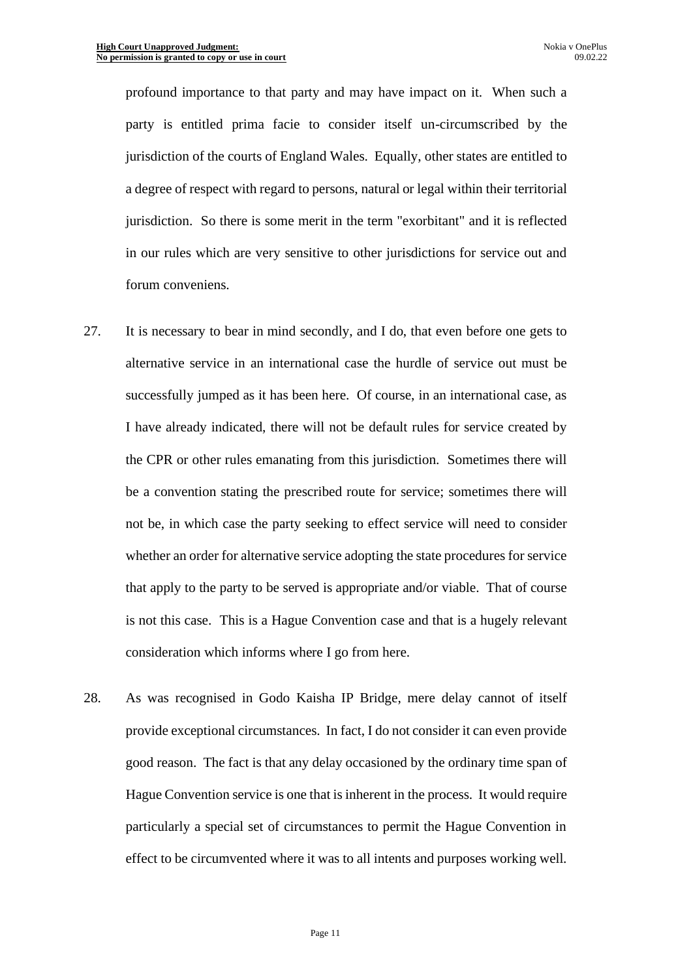profound importance to that party and may have impact on it. When such a party is entitled prima facie to consider itself un-circumscribed by the jurisdiction of the courts of England Wales. Equally, other states are entitled to a degree of respect with regard to persons, natural or legal within their territorial jurisdiction. So there is some merit in the term "exorbitant" and it is reflected in our rules which are very sensitive to other jurisdictions for service out and forum conveniens.

- 27. It is necessary to bear in mind secondly, and I do, that even before one gets to alternative service in an international case the hurdle of service out must be successfully jumped as it has been here. Of course, in an international case, as I have already indicated, there will not be default rules for service created by the CPR or other rules emanating from this jurisdiction. Sometimes there will be a convention stating the prescribed route for service; sometimes there will not be, in which case the party seeking to effect service will need to consider whether an order for alternative service adopting the state procedures for service that apply to the party to be served is appropriate and/or viable. That of course is not this case. This is a Hague Convention case and that is a hugely relevant consideration which informs where I go from here.
- 28. As was recognised in Godo Kaisha IP Bridge, mere delay cannot of itself provide exceptional circumstances. In fact, I do not consider it can even provide good reason. The fact is that any delay occasioned by the ordinary time span of Hague Convention service is one that is inherent in the process. It would require particularly a special set of circumstances to permit the Hague Convention in effect to be circumvented where it was to all intents and purposes working well.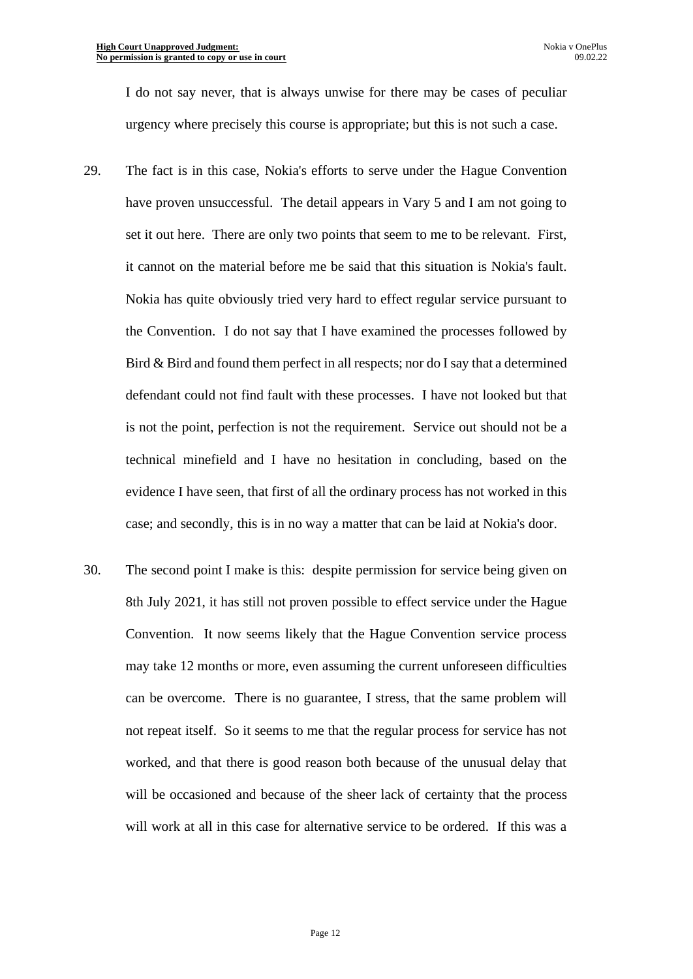I do not say never, that is always unwise for there may be cases of peculiar urgency where precisely this course is appropriate; but this is not such a case.

- 29. The fact is in this case, Nokia's efforts to serve under the Hague Convention have proven unsuccessful. The detail appears in Vary 5 and I am not going to set it out here. There are only two points that seem to me to be relevant. First, it cannot on the material before me be said that this situation is Nokia's fault. Nokia has quite obviously tried very hard to effect regular service pursuant to the Convention. I do not say that I have examined the processes followed by Bird & Bird and found them perfect in all respects; nor do I say that a determined defendant could not find fault with these processes. I have not looked but that is not the point, perfection is not the requirement. Service out should not be a technical minefield and I have no hesitation in concluding, based on the evidence I have seen, that first of all the ordinary process has not worked in this case; and secondly, this is in no way a matter that can be laid at Nokia's door.
- 30. The second point I make is this: despite permission for service being given on 8th July 2021, it has still not proven possible to effect service under the Hague Convention. It now seems likely that the Hague Convention service process may take 12 months or more, even assuming the current unforeseen difficulties can be overcome. There is no guarantee, I stress, that the same problem will not repeat itself. So it seems to me that the regular process for service has not worked, and that there is good reason both because of the unusual delay that will be occasioned and because of the sheer lack of certainty that the process will work at all in this case for alternative service to be ordered. If this was a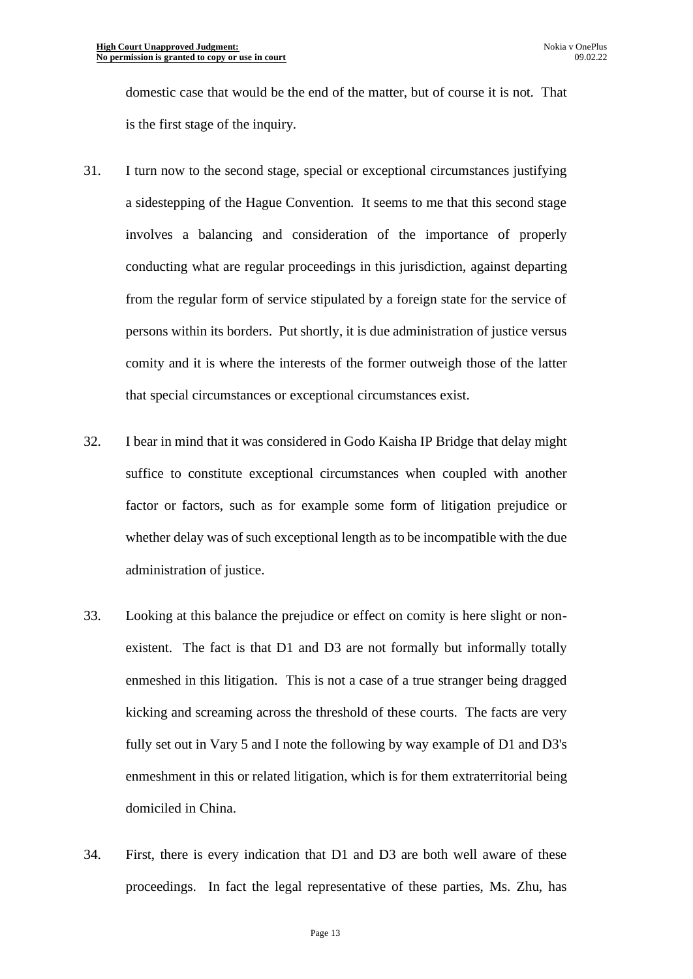domestic case that would be the end of the matter, but of course it is not. That is the first stage of the inquiry.

- 31. I turn now to the second stage, special or exceptional circumstances justifying a sidestepping of the Hague Convention. It seems to me that this second stage involves a balancing and consideration of the importance of properly conducting what are regular proceedings in this jurisdiction, against departing from the regular form of service stipulated by a foreign state for the service of persons within its borders. Put shortly, it is due administration of justice versus comity and it is where the interests of the former outweigh those of the latter that special circumstances or exceptional circumstances exist.
- 32. I bear in mind that it was considered in Godo Kaisha IP Bridge that delay might suffice to constitute exceptional circumstances when coupled with another factor or factors, such as for example some form of litigation prejudice or whether delay was of such exceptional length as to be incompatible with the due administration of justice.
- 33. Looking at this balance the prejudice or effect on comity is here slight or nonexistent. The fact is that D1 and D3 are not formally but informally totally enmeshed in this litigation. This is not a case of a true stranger being dragged kicking and screaming across the threshold of these courts. The facts are very fully set out in Vary 5 and I note the following by way example of D1 and D3's enmeshment in this or related litigation, which is for them extraterritorial being domiciled in China.
- 34. First, there is every indication that D1 and D3 are both well aware of these proceedings. In fact the legal representative of these parties, Ms. Zhu, has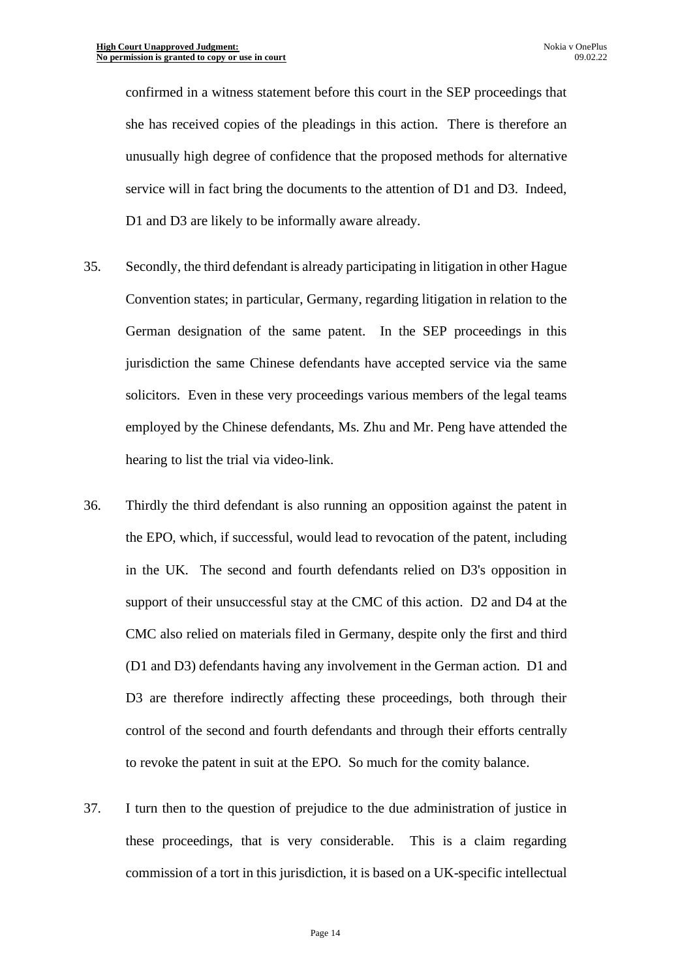confirmed in a witness statement before this court in the SEP proceedings that she has received copies of the pleadings in this action. There is therefore an unusually high degree of confidence that the proposed methods for alternative service will in fact bring the documents to the attention of D1 and D3. Indeed, D1 and D3 are likely to be informally aware already.

- 35. Secondly, the third defendant is already participating in litigation in other Hague Convention states; in particular, Germany, regarding litigation in relation to the German designation of the same patent. In the SEP proceedings in this jurisdiction the same Chinese defendants have accepted service via the same solicitors. Even in these very proceedings various members of the legal teams employed by the Chinese defendants, Ms. Zhu and Mr. Peng have attended the hearing to list the trial via video-link.
- 36. Thirdly the third defendant is also running an opposition against the patent in the EPO, which, if successful, would lead to revocation of the patent, including in the UK. The second and fourth defendants relied on D3's opposition in support of their unsuccessful stay at the CMC of this action. D2 and D4 at the CMC also relied on materials filed in Germany, despite only the first and third (D1 and D3) defendants having any involvement in the German action. D1 and D3 are therefore indirectly affecting these proceedings, both through their control of the second and fourth defendants and through their efforts centrally to revoke the patent in suit at the EPO. So much for the comity balance.
- 37. I turn then to the question of prejudice to the due administration of justice in these proceedings, that is very considerable. This is a claim regarding commission of a tort in this jurisdiction, it is based on a UK-specific intellectual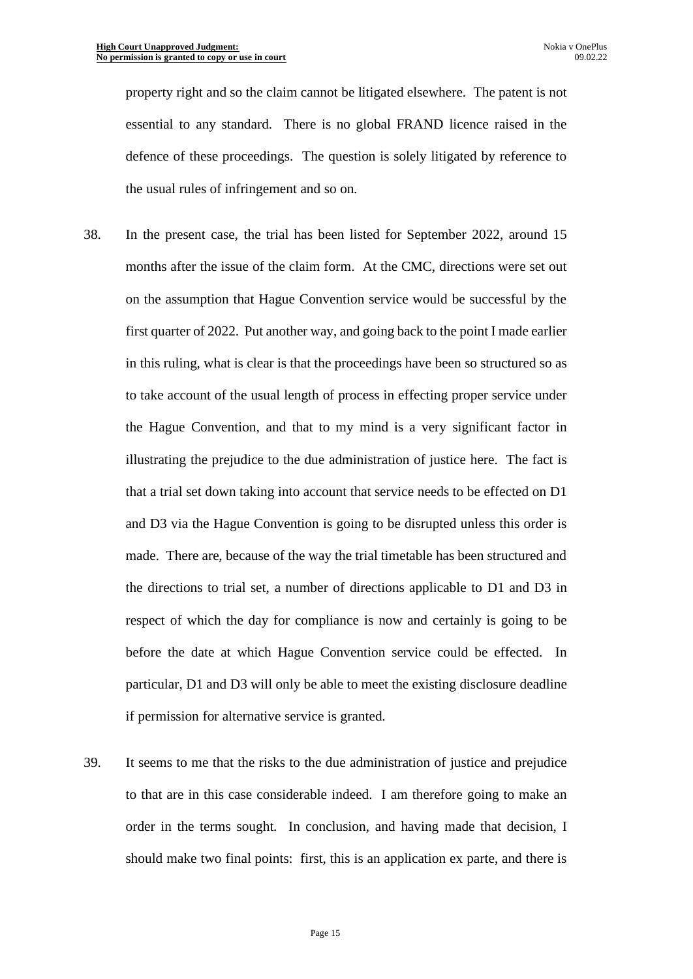property right and so the claim cannot be litigated elsewhere. The patent is not essential to any standard. There is no global FRAND licence raised in the defence of these proceedings. The question is solely litigated by reference to the usual rules of infringement and so on.

- 38. In the present case, the trial has been listed for September 2022, around 15 months after the issue of the claim form. At the CMC, directions were set out on the assumption that Hague Convention service would be successful by the first quarter of 2022. Put another way, and going back to the point I made earlier in this ruling, what is clear is that the proceedings have been so structured so as to take account of the usual length of process in effecting proper service under the Hague Convention, and that to my mind is a very significant factor in illustrating the prejudice to the due administration of justice here. The fact is that a trial set down taking into account that service needs to be effected on D1 and D3 via the Hague Convention is going to be disrupted unless this order is made. There are, because of the way the trial timetable has been structured and the directions to trial set, a number of directions applicable to D1 and D3 in respect of which the day for compliance is now and certainly is going to be before the date at which Hague Convention service could be effected. In particular, D1 and D3 will only be able to meet the existing disclosure deadline if permission for alternative service is granted.
- 39. It seems to me that the risks to the due administration of justice and prejudice to that are in this case considerable indeed. I am therefore going to make an order in the terms sought. In conclusion, and having made that decision, I should make two final points: first, this is an application ex parte, and there is